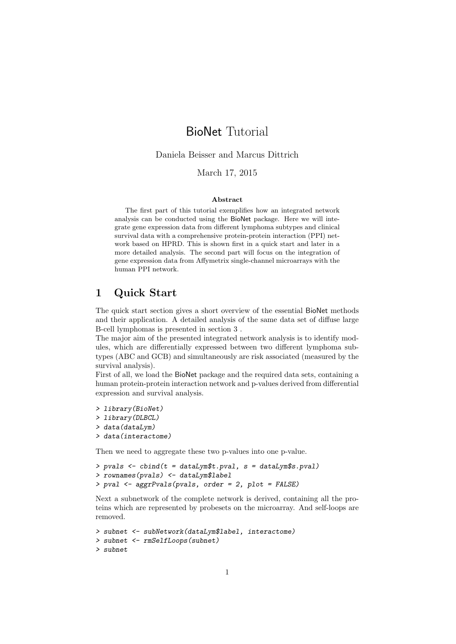# BioNet Tutorial

Daniela Beisser and Marcus Dittrich

### March 17, 2015

#### Abstract

The first part of this tutorial exemplifies how an integrated network analysis can be conducted using the BioNet package. Here we will integrate gene expression data from different lymphoma subtypes and clinical survival data with a comprehensive protein-protein interaction (PPI) network based on HPRD. This is shown first in a quick start and later in a more detailed analysis. The second part will focus on the integration of gene expression data from Affymetrix single-channel microarrays with the human PPI network.

# 1 Quick Start

The quick start section gives a short overview of the essential BioNet methods and their application. A detailed analysis of the same data set of diffuse large B-cell lymphomas is presented in section 3 .

The major aim of the presented integrated network analysis is to identify modules, which are differentially expressed between two different lymphoma subtypes (ABC and GCB) and simultaneously are risk associated (measured by the survival analysis).

First of all, we load the BioNet package and the required data sets, containing a human protein-protein interaction network and p-values derived from differential expression and survival analysis.

```
> library(BioNet)
```

```
> library(DLBCL)
```

```
> data(dataLym)
```

```
> data(interactome)
```
Then we need to aggregate these two p-values into one p-value.

```
> pvals \leq cbind(t = dataLym$t.pval, s = dataLym$s.pval)
> rownames(pvals) <- dataLym$label
> pval <- aggrPvals(pvals, order = 2, plot = FALSE)
```
Next a subnetwork of the complete network is derived, containing all the proteins which are represented by probesets on the microarray. And self-loops are removed.

```
> subnet <- subNetwork(dataLym$label, interactome)
> subnet <- rmSelfLoops(subnet)
> subnet
```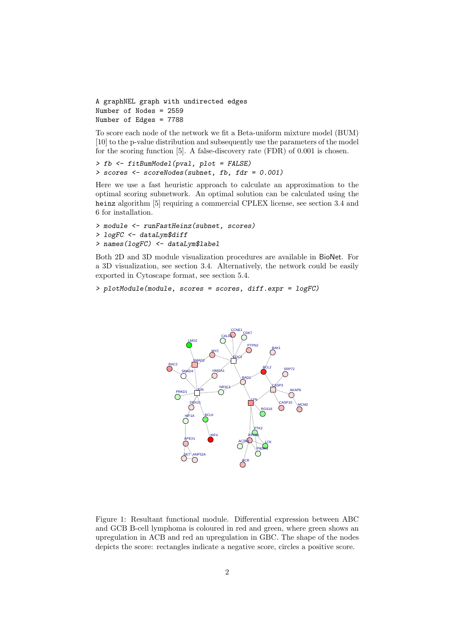A graphNEL graph with undirected edges Number of Nodes = 2559 Number of Edges = 7788

To score each node of the network we fit a Beta-uniform mixture model (BUM) [10] to the p-value distribution and subsequently use the parameters of the model for the scoring function [5]. A false-discovery rate (FDR) of 0.001 is chosen.

```
> fb <- fitBumModel(pval, plot = FALSE)
> scores <- scoreNodes(subnet, fb, fdr = 0.001)
```
Here we use a fast heuristic approach to calculate an approximation to the optimal scoring subnetwork. An optimal solution can be calculated using the heinz algorithm [5] requiring a commercial CPLEX license, see section 3.4 and 6 for installation.

```
> module <- runFastHeinz(subnet, scores)
> logFC <- dataLym$diff
> names(logFC) <- dataLym$label
```
Both 2D and 3D module visualization procedures are available in BioNet. For a 3D visualization, see section 3.4. Alternatively, the network could be easily exported in Cytoscape format, see section 5.4.

> plotModule(module, scores = scores, diff.expr = logFC)



Figure 1: Resultant functional module. Differential expression between ABC and GCB B-cell lymphoma is coloured in red and green, where green shows an upregulation in ACB and red an upregulation in GBC. The shape of the nodes depicts the score: rectangles indicate a negative score, circles a positive score.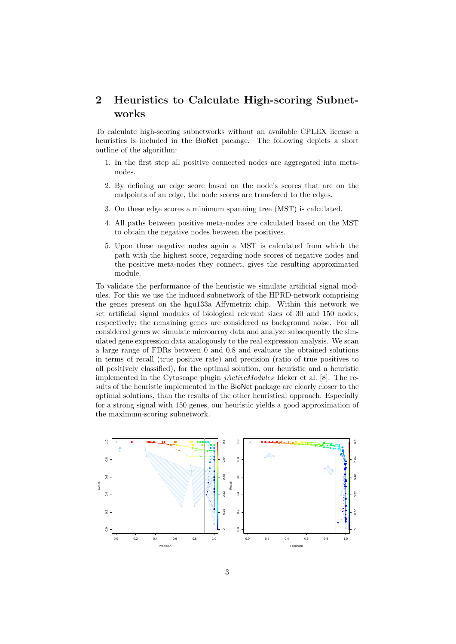# 2 Heuristics to Calculate High-scoring Subnetworks

To calculate high-scoring subnetworks without an available CPLEX license a heuristics is included in the BioNet package. The following depicts a short outline of the algorithm:

- 1. In the first step all positive connected nodes are aggregated into metanodes.
- 2. By defining an edge score based on the node's scores that are on the endpoints of an edge, the node scores are transfered to the edges.
- 3. On these edge scores a minimum spanning tree (MST) is calculated.
- 4. All paths between positive meta-nodes are calculated based on the MST to obtain the negative nodes between the positives.
- 5. Upon these negative nodes again a MST is calculated from which the path with the highest score, regarding node scores of negative nodes and the positive meta-nodes they connect, gives the resulting approximated module.

To validate the performance of the heuristic we simulate artificial signal modules. For this we use the induced subnetwork of the HPRD-network comprising the genes present on the hgu133a Affymetrix chip. Within this network we set artificial signal modules of biological relevant sizes of 30 and 150 nodes, respectively; the remaining genes are considered as background noise. For all considered genes we simulate microarray data and analyze subsequently the simulated gene expression data analogously to the real expression analysis. We scan a large range of FDRs between 0 and 0.8 and evaluate the obtained solutions in terms of recall (true positive rate) and precision (ratio of true positives to all positively classified), for the optimal solution, our heuristic and a heuristic implemented in the Cytoscape plugin jActiveModules Ideker et al. [8]. The results of the heuristic implemented in the BioNet package are clearly closer to the optimal solutions, than the results of the other heuristical approach. Especially for a strong signal with 150 genes, our heuristic yields a good approximation of the maximum-scoring subnetwork.

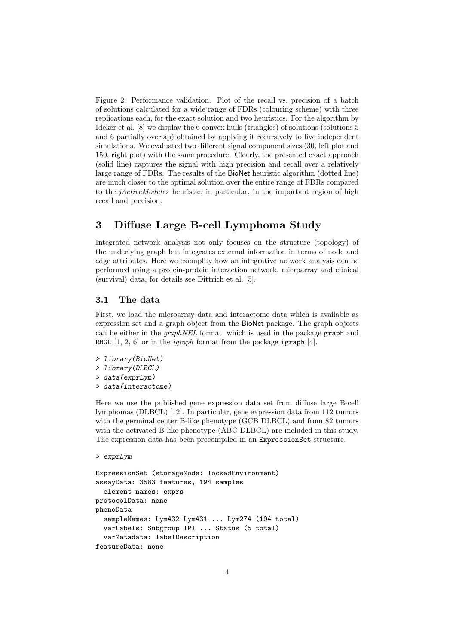Figure 2: Performance validation. Plot of the recall vs. precision of a batch of solutions calculated for a wide range of FDRs (colouring scheme) with three replications each, for the exact solution and two heuristics. For the algorithm by Ideker et al. [8] we display the 6 convex hulls (triangles) of solutions (solutions 5 and 6 partially overlap) obtained by applying it recursively to five independent simulations. We evaluated two different signal component sizes (30, left plot and 150, right plot) with the same procedure. Clearly, the presented exact approach (solid line) captures the signal with high precision and recall over a relatively large range of FDRs. The results of the BioNet heuristic algorithm (dotted line) are much closer to the optimal solution over the entire range of FDRs compared to the jActiveModules heuristic; in particular, in the important region of high recall and precision.

# 3 Diffuse Large B-cell Lymphoma Study

Integrated network analysis not only focuses on the structure (topology) of the underlying graph but integrates external information in terms of node and edge attributes. Here we exemplify how an integrative network analysis can be performed using a protein-protein interaction network, microarray and clinical (survival) data, for details see Dittrich et al. [5].

#### 3.1 The data

First, we load the microarray data and interactome data which is available as expression set and a graph object from the BioNet package. The graph objects can be either in the *graphNEL* format, which is used in the package graph and RBGL  $[1, 2, 6]$  or in the *igraph* format from the package igraph  $[4]$ .

```
> library(BioNet)
> library(DLBCL)
> data(exprLym)
> data(interactome)
```
Here we use the published gene expression data set from diffuse large B-cell lymphomas (DLBCL) [12]. In particular, gene expression data from 112 tumors with the germinal center B-like phenotype (GCB DLBCL) and from 82 tumors with the activated B-like phenotype (ABC DLBCL) are included in this study. The expression data has been precompiled in an ExpressionSet structure.

```
> exprLym
```

```
ExpressionSet (storageMode: lockedEnvironment)
assayData: 3583 features, 194 samples
  element names: exprs
protocolData: none
phenoData
  sampleNames: Lym432 Lym431 ... Lym274 (194 total)
  varLabels: Subgroup IPI ... Status (5 total)
  varMetadata: labelDescription
featureData: none
```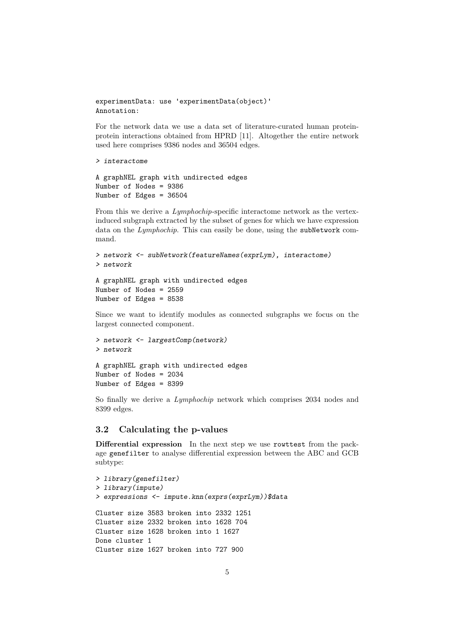```
experimentData: use 'experimentData(object)'
Annotation:
```
For the network data we use a data set of literature-curated human proteinprotein interactions obtained from HPRD [11]. Altogether the entire network used here comprises 9386 nodes and 36504 edges.

```
> interactome
```

```
A graphNEL graph with undirected edges
Number of Nodes = 9386
Number of Edges = 36504
```
From this we derive a *Lymphochip*-specific interactome network as the vertexinduced subgraph extracted by the subset of genes for which we have expression data on the Lymphochip. This can easily be done, using the subNetwork command.

```
> network <- subNetwork(featureNames(exprLym), interactome)
> network
```

```
A graphNEL graph with undirected edges
Number of Nodes = 2559
Number of Edges = 8538
```
Since we want to identify modules as connected subgraphs we focus on the largest connected component.

```
> network <- largestComp(network)
> network
A graphNEL graph with undirected edges
Number of Nodes = 2034
```

```
Number of Edges = 8399
```
So finally we derive a *Lymphochip* network which comprises 2034 nodes and 8399 edges.

#### 3.2 Calculating the p-values

Differential expression In the next step we use rowttest from the package genefilter to analyse differential expression between the ABC and GCB subtype:

```
> library(genefilter)
> library(impute)
> expressions <- impute.knn(exprs(exprLym))$data
Cluster size 3583 broken into 2332 1251
Cluster size 2332 broken into 1628 704
Cluster size 1628 broken into 1 1627
Done cluster 1
Cluster size 1627 broken into 727 900
```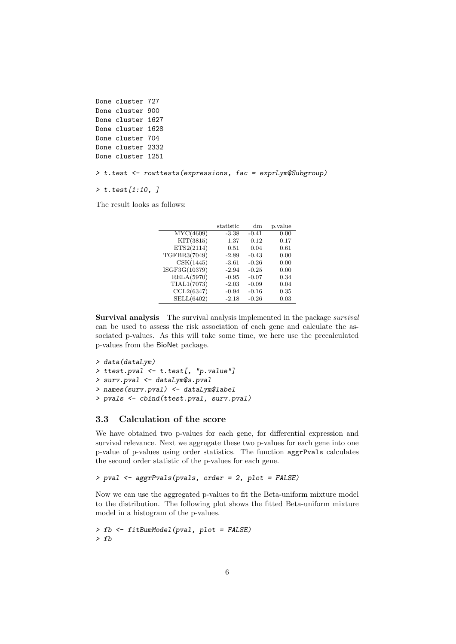```
Done cluster 727
Done cluster 900
Done cluster 1627
Done cluster 1628
Done cluster 704
Done cluster 2332
Done cluster 1251
```
> t.test <- rowttests(expressions, fac = exprLym\$Subgroup)

 $> t.test[1:10, ]$ 

The result looks as follows:

|               | statistic | dm      | p.value |
|---------------|-----------|---------|---------|
| MYC(4609)     | $-3.38$   | $-0.41$ | 0.00    |
| KIT(3815)     | 1.37      | 0.12    | 0.17    |
| ETS2(2114)    | 0.51      | 0.04    | 0.61    |
| TGFBR3(7049)  | $-2.89$   | $-0.43$ | 0.00    |
| CSK(1445)     | $-3.61$   | $-0.26$ | 0.00    |
| ISGF3G(10379) | $-2.94$   | $-0.25$ | 0.00    |
| RELA(5970)    | $-0.95$   | $-0.07$ | 0.34    |
| TIAL1(7073)   | $-2.03$   | $-0.09$ | 0.04    |
| CCL2(6347)    | $-0.94$   | $-0.16$ | 0.35    |
| SELL(6402)    | $-2.18$   | $-0.26$ | 0.03    |

Survival analysis The survival analysis implemented in the package survival can be used to assess the risk association of each gene and calculate the associated p-values. As this will take some time, we here use the precalculated p-values from the BioNet package.

```
> data(dataLym)
> ttest.pval <- t.test[, "p.value"]
> surv.pval <- dataLym$s.pval
> names(surv.pval) <- dataLym$label
> pvals <- cbind(ttest.pval, surv.pval)
```
## 3.3 Calculation of the score

We have obtained two p-values for each gene, for differential expression and survival relevance. Next we aggregate these two p-values for each gene into one p-value of p-values using order statistics. The function aggrPvals calculates the second order statistic of the p-values for each gene.

```
> pval <- aggrPvals(pvals, order = 2, plot = FALSE)
```
Now we can use the aggregated p-values to fit the Beta-uniform mixture model to the distribution. The following plot shows the fitted Beta-uniform mixture model in a histogram of the p-values.

> fb <- fitBumModel(pval, plot = FALSE) > fb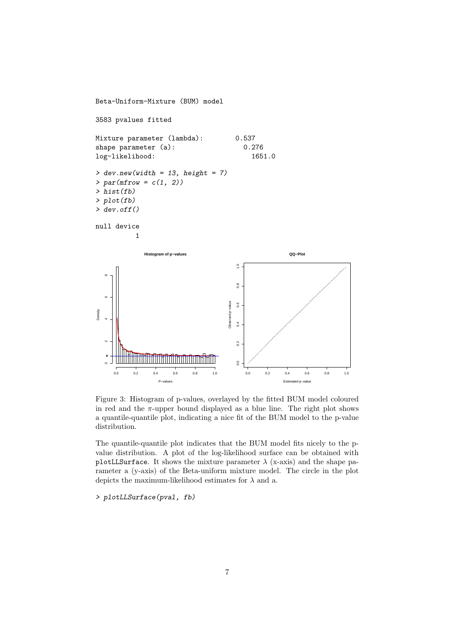

Figure 3: Histogram of p-values, overlayed by the fitted BUM model coloured in red and the  $\pi$ -upper bound displayed as a blue line. The right plot shows a quantile-quantile plot, indicating a nice fit of the BUM model to the p-value distribution.

The quantile-quantile plot indicates that the BUM model fits nicely to the pvalue distribution. A plot of the log-likelihood surface can be obtained with plotLLSurface. It shows the mixture parameter  $\lambda$  (x-axis) and the shape parameter a (y-axis) of the Beta-uniform mixture model. The circle in the plot depicts the maximum-likelihood estimates for  $\lambda$  and a.

> plotLLSurface(pval, fb)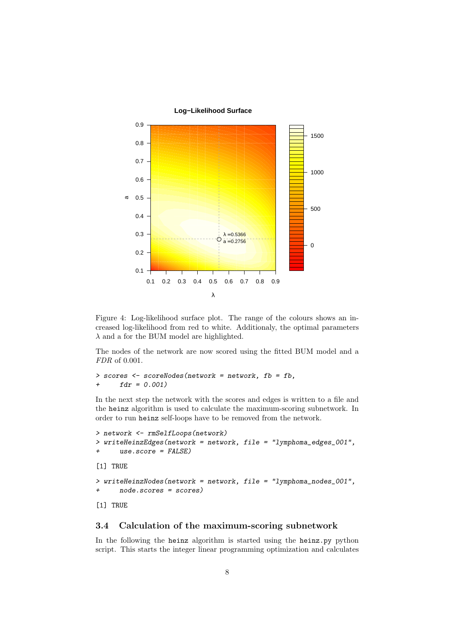

Figure 4: Log-likelihood surface plot. The range of the colours shows an increased log-likelihood from red to white. Additionaly, the optimal parameters  $\lambda$  and a for the BUM model are highlighted.

The nodes of the network are now scored using the fitted BUM model and a FDR of 0.001.

```
> scores <- scoreNodes(network = network, fb = fb,
+ fdr = 0.001
```
In the next step the network with the scores and edges is written to a file and the heinz algorithm is used to calculate the maximum-scoring subnetwork. In order to run heinz self-loops have to be removed from the network.

```
> network <- rmSelfLoops(network)
> writeHeinzEdges(network = network, file = "lymphoma_edges_001",
+ use.score = FALSE)
[1] TRUE
> writeHeinzNodes(network = network, file = "lymphoma_nodes_001",
+ node.scores = scores)
[1] TRUE
```
### 3.4 Calculation of the maximum-scoring subnetwork

In the following the heinz algorithm is started using the heinz.py python script. This starts the integer linear programming optimization and calculates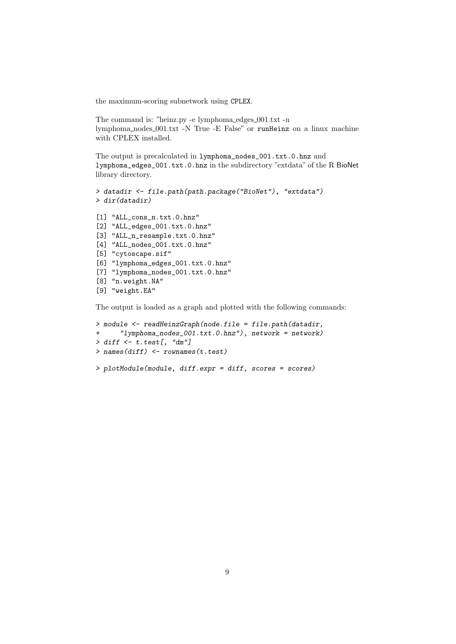the maximum-scoring subnetwork using CPLEX.

The command is: "heinz.py -e lymphoma\_edges\_001.txt -n lymphoma nodes 001.txt -N True -E False" or runHeinz on a linux machine with CPLEX installed.

The output is precalculated in lymphoma\_nodes\_001.txt.0.hnz and lymphoma\_edges\_001.txt.0.hnz in the subdirectory "extdata" of the R BioNet library directory.

```
> datadir <- file.path(path.package("BioNet"), "extdata")
> dir(datadir)
```

```
[1] "ALL_cons_n.txt.0.hnz"
[2] "ALL_edges_001.txt.0.hnz"
[3] "ALL_n_resample.txt.0.hnz"
[4] "ALL_nodes_001.txt.0.hnz"
[5] "cytoscape.sif"
[6] "lymphoma_edges_001.txt.0.hnz"
[7] "lymphoma_nodes_001.txt.0.hnz"
[8] "n.weight.NA"
[9] "weight.EA"
```
The output is loaded as a graph and plotted with the following commands:

```
> module <- readHeinzGraph(node.file = file.path(datadir,
+ "lymphoma_nodes_001.txt.0.hnz"), network = network)
> diff \leftarrow t.test[, "dm"]> names(diff) <- rownames(t.test)
> plotModule(module, diff.expr = diff, scores = scores)
```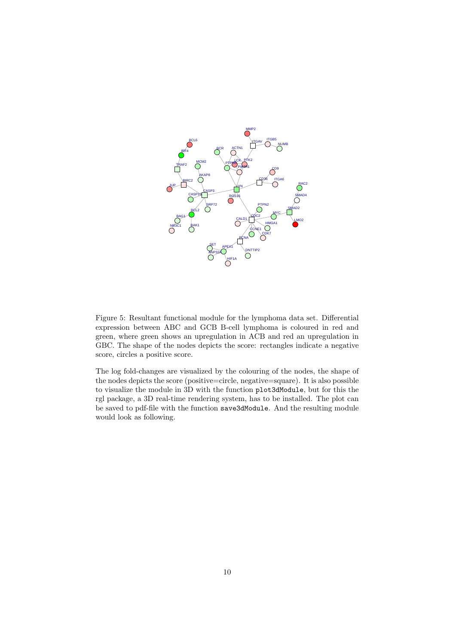

Figure 5: Resultant functional module for the lymphoma data set. Differential expression between ABC and GCB B-cell lymphoma is coloured in red and green, where green shows an upregulation in ACB and red an upregulation in GBC. The shape of the nodes depicts the score: rectangles indicate a negative score, circles a positive score.

The log fold-changes are visualized by the colouring of the nodes, the shape of the nodes depicts the score (positive=circle, negative=square). It is also possible to visualize the module in 3D with the function plot3dModule, but for this the rgl package, a 3D real-time rendering system, has to be installed. The plot can be saved to pdf-file with the function save3dModule. And the resulting module would look as following.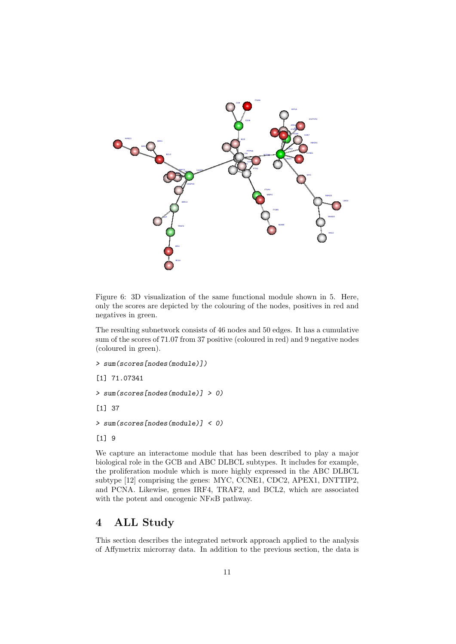

Figure 6: 3D visualization of the same functional module shown in 5. Here, only the scores are depicted by the colouring of the nodes, positives in red and negatives in green.

The resulting subnetwork consists of 46 nodes and 50 edges. It has a cumulative sum of the scores of 71.07 from 37 positive (coloured in red) and 9 negative nodes (coloured in green).

```
> sum(scores[nodes(module)])
```

```
[1] 71.07341
```

```
> sum(scores[nodes(module)] > 0)
```
[1] 37

```
> sum(scores[nodes(module)] < 0)
```

```
[1] 9
```
We capture an interactome module that has been described to play a major biological role in the GCB and ABC DLBCL subtypes. It includes for example, the proliferation module which is more highly expressed in the ABC DLBCL subtype [12] comprising the genes: MYC, CCNE1, CDC2, APEX1, DNTTIP2, and PCNA. Likewise, genes IRF4, TRAF2, and BCL2, which are associated with the potent and oncogenic NF<sub>K</sub>B pathway.

# 4 ALL Study

This section describes the integrated network approach applied to the analysis of Affymetrix microrray data. In addition to the previous section, the data is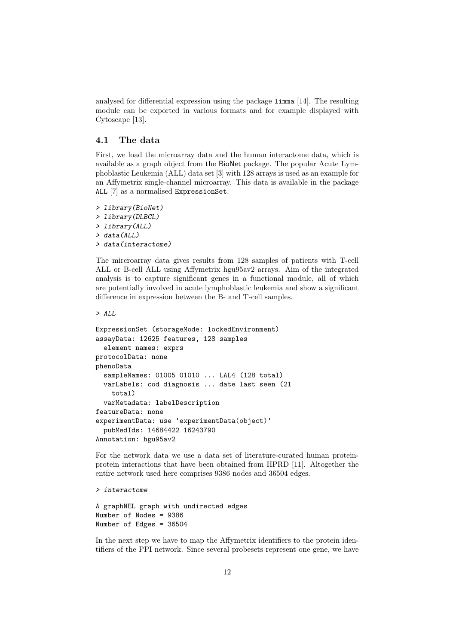analysed for differential expression using the package limma [14]. The resulting module can be exported in various formats and for example displayed with Cytoscape [13].

#### 4.1 The data

First, we load the microarray data and the human interactome data, which is available as a graph object from the BioNet package. The popular Acute Lymphoblastic Leukemia (ALL) data set [3] with 128 arrays is used as an example for an Affymetrix single-channel microarray. This data is available in the package ALL [7] as a normalised ExpressionSet.

```
> library(BioNet)
> library(DLBCL)
> library(ALL)
> data(ALL)
> data(interactome)
```
The mircroarray data gives results from 128 samples of patients with T-cell ALL or B-cell ALL using Affymetrix hgu95av2 arrays. Aim of the integrated analysis is to capture significant genes in a functional module, all of which are potentially involved in acute lymphoblastic leukemia and show a significant difference in expression between the B- and T-cell samples.

```
> ALL
```

```
ExpressionSet (storageMode: lockedEnvironment)
assayData: 12625 features, 128 samples
  element names: exprs
protocolData: none
phenoData
  sampleNames: 01005 01010 ... LAL4 (128 total)
  varLabels: cod diagnosis ... date last seen (21
    total)
  varMetadata: labelDescription
featureData: none
experimentData: use 'experimentData(object)'
  pubMedIds: 14684422 16243790
Annotation: hgu95av2
```
For the network data we use a data set of literature-curated human proteinprotein interactions that have been obtained from HPRD [11]. Altogether the entire network used here comprises 9386 nodes and 36504 edges.

> interactome

```
A graphNEL graph with undirected edges
Number of Nodes = 9386
Number of Edges = 36504
```
In the next step we have to map the Affymetrix identifiers to the protein identifiers of the PPI network. Since several probesets represent one gene, we have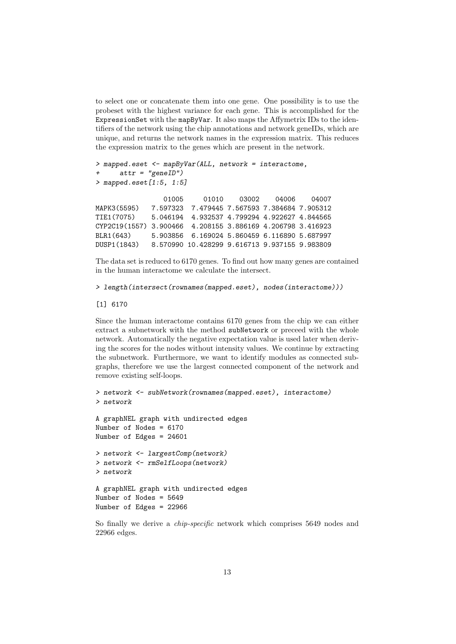to select one or concatenate them into one gene. One possibility is to use the probeset with the highest variance for each gene. This is accomplished for the ExpressionSet with the mapByVar. It also maps the Affymetrix IDs to the identifiers of the network using the chip annotations and network geneIDs, which are unique, and returns the network names in the expression matrix. This reduces the expression matrix to the genes which are present in the network.

```
> mapped.eset <- mapByVar(ALL, network = interactome,
+ attr = "geneID")
> mapped.eset [1:5, 1:5]
                01005 01010 03002 04006 04007
MAPK3(5595) 7.597323 7.479445 7.567593 7.384684 7.905312
TIE1(7075) 5.046194 4.932537 4.799294 4.922627 4.844565
CYP2C19(1557) 3.900466 4.208155 3.886169 4.206798 3.416923
BLR1(643) 5.903856 6.169024 5.860459 6.116890 5.687997
DUSP1(1843) 8.570990 10.428299 9.616713 9.937155 9.983809
```
The data set is reduced to 6170 genes. To find out how many genes are contained in the human interactome we calculate the intersect.

```
> length(intersect(rownames(mapped.eset), nodes(interactome)))
```
#### [1] 6170

Since the human interactome contains 6170 genes from the chip we can either extract a subnetwork with the method subNetwork or preceed with the whole network. Automatically the negative expectation value is used later when deriving the scores for the nodes without intensity values. We continue by extracting the subnetwork. Furthermore, we want to identify modules as connected subgraphs, therefore we use the largest connected component of the network and remove existing self-loops.

```
> network <- subNetwork(rownames(mapped.eset), interactome)
> network
A graphNEL graph with undirected edges
Number of Nodes = 6170
Number of Edges = 24601
> network <- largestComp(network)
> network <- rmSelfLoops(network)
> network
A graphNEL graph with undirected edges
Number of Nodes = 5649
Number of Edges = 22966
```
So finally we derive a *chip-specific* network which comprises 5649 nodes and 22966 edges.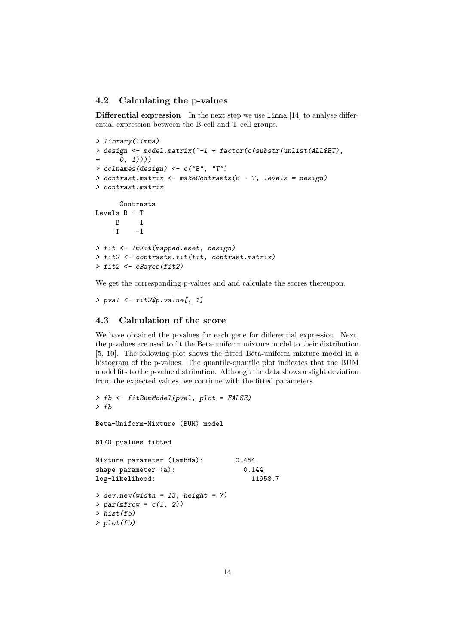#### 4.2 Calculating the p-values

Differential expression In the next step we use limma [14] to analyse differential expression between the B-cell and T-cell groups.

```
> library(limma)
> design <- model.matrix(~-1 + factor(c(substr(unlist(ALL$BT),
+ 0, 1))))
> colnames(design) <- c("B", "T")
> contrast.matrix <- makeContrasts(B - T, levels = design)
> contrast.matrix
     Contrasts
Levels B - T
    B 1
    T \t -1> fit <- lmFit(mapped.eset, design)
> fit2 <- contrasts.fit(fit, contrast.matrix)
> fit2 <- eBayes(fit2)
```
We get the corresponding p-values and and calculate the scores thereupon.

```
> pval <- fit2$p.value[, 1]
```
#### 4.3 Calculation of the score

We have obtained the p-values for each gene for differential expression. Next, the p-values are used to fit the Beta-uniform mixture model to their distribution [5, 10]. The following plot shows the fitted Beta-uniform mixture model in a histogram of the p-values. The quantile-quantile plot indicates that the BUM model fits to the p-value distribution. Although the data shows a slight deviation from the expected values, we continue with the fitted parameters.

```
> fb <- fitBumModel(pval, plot = FALSE)
> fb
Beta-Uniform-Mixture (BUM) model
6170 pvalues fitted
Mixture parameter (lambda): 0.454
shape parameter (a): 0.144
log-likelihood: 11958.7
> dev.new(width = 13, height = 7)> par(mfrow = c(1, 2))> hist(fb)
> plot(fb)
```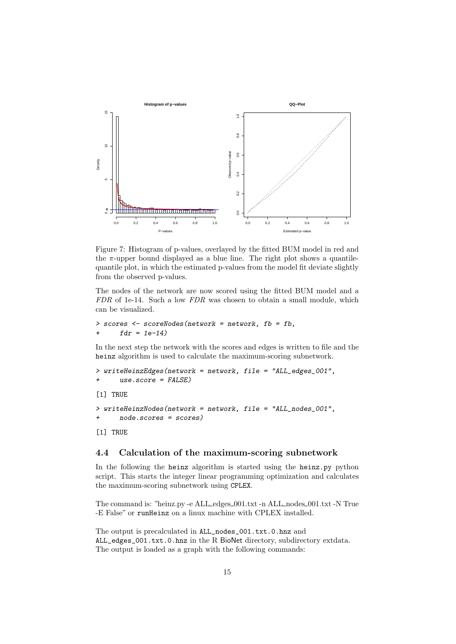

Figure 7: Histogram of p-values, overlayed by the fitted BUM model in red and the  $\pi$ -upper bound displayed as a blue line. The right plot shows a quantilequantile plot, in which the estimated p-values from the model fit deviate slightly from the observed p-values.

The nodes of the network are now scored using the fitted BUM model and a FDR of 1e-14. Such a low FDR was chosen to obtain a small module, which can be visualized.

```
> scores <- scoreNodes(network = network, fb = fb,
+ fdr = 1e-14
```
In the next step the network with the scores and edges is written to file and the heinz algorithm is used to calculate the maximum-scoring subnetwork.

```
> writeHeinzEdges(network = network, file = "ALL_edges_001",
     use.score = FALSE)[1] TRUE
> writeHeinzNodes(network = network, file = "ALL_nodes_001",
+ node.scores = scores)
[1] TRUE
```
### 4.4 Calculation of the maximum-scoring subnetwork

In the following the heinz algorithm is started using the heinz.py python script. This starts the integer linear programming optimization and calculates the maximum-scoring subnetwork using CPLEX.

The command is: "heinz.py -e ALL\_edges\_001.txt -n ALL\_nodes\_001.txt -N True -E False" or runHeinz on a linux machine with CPLEX installed.

The output is precalculated in ALL\_nodes\_001.txt.0.hnz and ALL\_edges\_001.txt.0.hnz in the R BioNet directory, subdirectory extdata. The output is loaded as a graph with the following commands: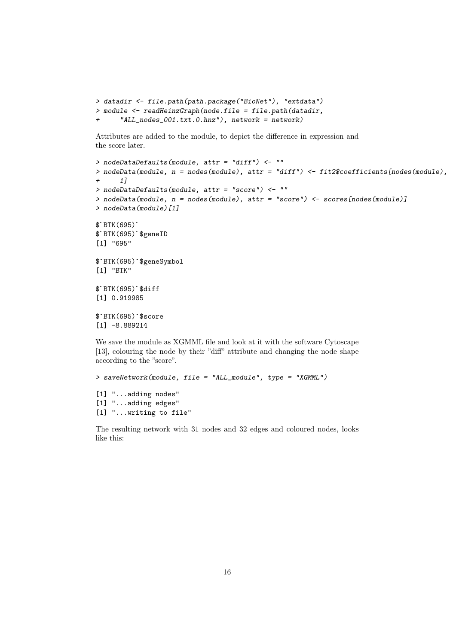```
> datadir <- file.path(path.package("BioNet"), "extdata")
> module <- readHeinzGraph(node.file = file.path(datadir,
      "ALL\_nodes\_001.txt.0.hnz"), network = network)
```
Attributes are added to the module, to depict the difference in expression and the score later.

```
> nodeDataDefaults(module, attr = "diff") <- ""
> nodeData(module, n = nodes(module), attr = "diff") <- fit2$coefficients[nodes(module),
+ 1]
> nodeDataDefaults(module, attr = "score") <- ""
> nodeData(module, n = nodes(module), attr = "score") <- scores[nodes(module)]
> nodeData(module)[1]
$`BTK(695)`
$`BTK(695)`$geneID
[1] "695"
$`BTK(695)`$geneSymbol
[1] "BTK"
$`BTK(695)`$diff
[1] 0.919985
$`BTK(695)`$score
[1] -8.889214
We save the module as XGMML file and look at it with the software Cytoscape
[13], colouring the node by their "diff" attribute and changing the node shape
according to the "score".
```

```
> saveNetwork(module, file = "ALL_module", type = "XGMML")
[1] "...adding nodes"
[1] "...adding edges"
[1] "...writing to file"
```
The resulting network with 31 nodes and 32 edges and coloured nodes, looks like this: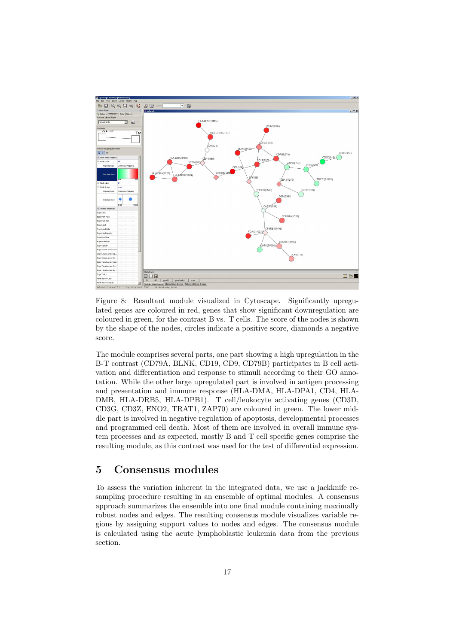

Figure 8: Resultant module visualized in Cytoscape. Significantly upregulated genes are coloured in red, genes that show significant downregulation are coloured in green, for the contrast B vs. T cells. The score of the nodes is shown by the shape of the nodes, circles indicate a positive score, diamonds a negative score.

The module comprises several parts, one part showing a high upregulation in the B-T contrast (CD79A, BLNK, CD19, CD9, CD79B) participates in B cell activation and differentiation and response to stimuli according to their GO annotation. While the other large upregulated part is involved in antigen processing and presentation and immune response (HLA-DMA, HLA-DPA1, CD4, HLA-DMB, HLA-DRB5, HLA-DPB1). T cell/leukocyte activating genes (CD3D, CD3G, CD3Z, ENO2, TRAT1, ZAP70) are coloured in green. The lower middle part is involved in negative regulation of apoptosis, developmental processes and programmed cell death. Most of them are involved in overall immune system processes and as expected, mostly B and T cell specific genes comprise the resulting module, as this contrast was used for the test of differential expression.

# 5 Consensus modules

To assess the variation inherent in the integrated data, we use a jackknife resampling procedure resulting in an ensemble of optimal modules. A consensus approach summarizes the ensemble into one final module containing maximally robust nodes and edges. The resulting consensus module visualizes variable regions by assigning support values to nodes and edges. The consensus module is calculated using the acute lymphoblastic leukemia data from the previous section.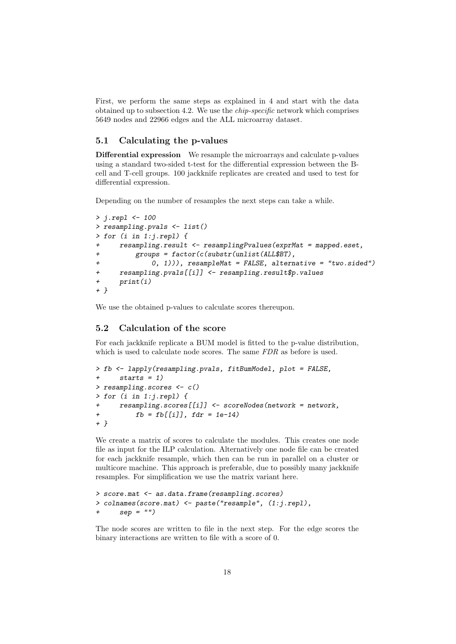First, we perform the same steps as explained in 4 and start with the data obtained up to subsection 4.2. We use the chip-specific network which comprises 5649 nodes and 22966 edges and the ALL microarray dataset.

#### 5.1 Calculating the p-values

Differential expression We resample the microarrays and calculate p-values using a standard two-sided t-test for the differential expression between the Bcell and T-cell groups. 100 jackknife replicates are created and used to test for differential expression.

Depending on the number of resamples the next steps can take a while.

```
> j.repl <- 100
> resampling.pvals <- list()
> for (i in 1:j.repl) {
+ resampling.result <- resamplingPvalues(exprMat = mapped.eset,
+ groups = factor(c(substr(unlist(ALL$BT),
+ 0, 1))), resampleMat = FALSE, alternative = "two.sided")
+ resampling.pvals[[i]] <- resampling.result$p.values
+ print(i)
+ }
```
We use the obtained p-values to calculate scores thereupon.

#### 5.2 Calculation of the score

For each jackknife replicate a BUM model is fitted to the p-value distribution, which is used to calculate node scores. The same  $FDR$  as before is used.

```
> fb <- lapply(resampling.pvals, fitBumModel, plot = FALSE,
     starts = 1)> resampling.scores <- c()
> for (i in 1:j.repl) {
+ resampling.scores[[i]] <- scoreNodes(network = network,
+ fb = fb[[i]], fdr = 1e-14)+ }
```
We create a matrix of scores to calculate the modules. This creates one node file as input for the ILP calculation. Alternatively one node file can be created for each jackknife resample, which then can be run in parallel on a cluster or multicore machine. This approach is preferable, due to possibly many jackknife resamples. For simplification we use the matrix variant here.

```
> score.mat <- as.data.frame(resampling.scores)
> colnames(score.mat) <- paste("resample", (1:j.repl),
+ sep = "")
```
The node scores are written to file in the next step. For the edge scores the binary interactions are written to file with a score of 0.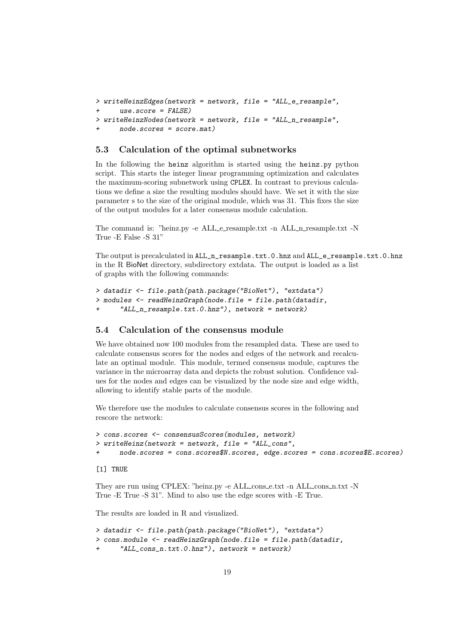```
> writeHeinzEdges(network = network, file = "ALL_e_resample",
+ use.score = FALSE)
> writeHeinzNodes(network = network, file = "ALL_n_resample",
     node.scores = score.mat)
```
#### 5.3 Calculation of the optimal subnetworks

In the following the heinz algorithm is started using the heinz.py python script. This starts the integer linear programming optimization and calculates the maximum-scoring subnetwork using CPLEX. In contrast to previous calculations we define a size the resulting modules should have. We set it with the size parameter s to the size of the original module, which was 31. This fixes the size of the output modules for a later consensus module calculation.

The command is: "heinz.py -e ALL\_e\_resample.txt -n ALL\_n\_resample.txt -N True -E False -S 31"

The output is precalculated in ALL\_n\_resample.txt.0.hnz and ALL\_e\_resample.txt.0.hnz in the R BioNet directory, subdirectory extdata. The output is loaded as a list of graphs with the following commands:

```
> datadir <- file.path(path.package("BioNet"), "extdata")
> modules <- readHeinzGraph(node.file = file.path(datadir,
      "ALL_nresample.txt.0.hnz"), network = network)
```
### 5.4 Calculation of the consensus module

We have obtained now 100 modules from the resampled data. These are used to calculate consensus scores for the nodes and edges of the network and recalculate an optimal module. This module, termed consensus module, captures the variance in the microarray data and depicts the robust solution. Confidence values for the nodes and edges can be visualized by the node size and edge width, allowing to identify stable parts of the module.

We therefore use the modules to calculate consensus scores in the following and rescore the network:

```
> cons.scores <- consensusScores(modules, network)
> writeHeinz(network = network, file = "ALL_cons",
     + node.scores = cons.scores$N.scores, edge.scores = cons.scores$E.scores)
```
[1] TRUE

They are run using CPLEX: "heinz.py -e ALL\_cons\_e.txt -n ALL\_cons\_n.txt -N True -E True -S 31". Mind to also use the edge scores with -E True.

The results are loaded in R and visualized.

```
> datadir <- file.path(path.package("BioNet"), "extdata")
> cons.module <- readHeinzGraph(node.file = file.path(datadir,
      "ALL\_cons_n.txt.0.hnz"), network = network)
```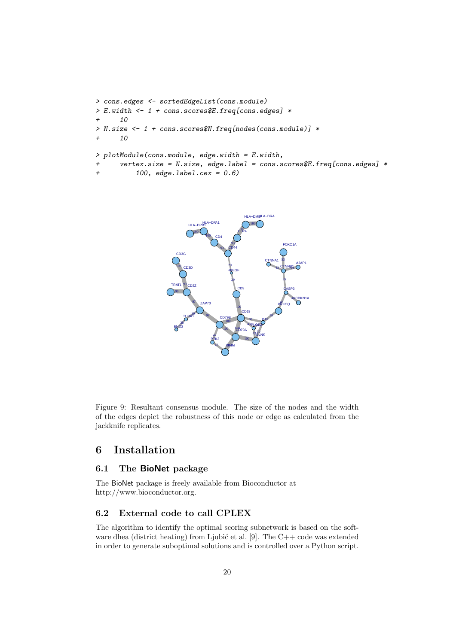```
> cons.edges <- sortedEdgeList(cons.module)
> E.width <- 1 + cons.scores$E.freq[cons.edges] *
     10
> N.size <- 1 + cons.scores$N.freq[nodes(cons.module)] *
+ 10
> plotModule(cons.module, edge.width = E.width,
+ vertex.size = N.size, edge.label = cons.scores$E.freq[cons.edges] *
+ 100, edge.label.cex = 0.6)
```


Figure 9: Resultant consensus module. The size of the nodes and the width of the edges depict the robustness of this node or edge as calculated from the jackknife replicates.

# 6 Installation

### 6.1 The BioNet package

The BioNet package is freely available from Bioconductor at http://www.bioconductor.org.

#### 6.2 External code to call CPLEX

The algorithm to identify the optimal scoring subnetwork is based on the software dhea (district heating) from Ljubić et al.  $[9]$ . The C++ code was extended in order to generate suboptimal solutions and is controlled over a Python script.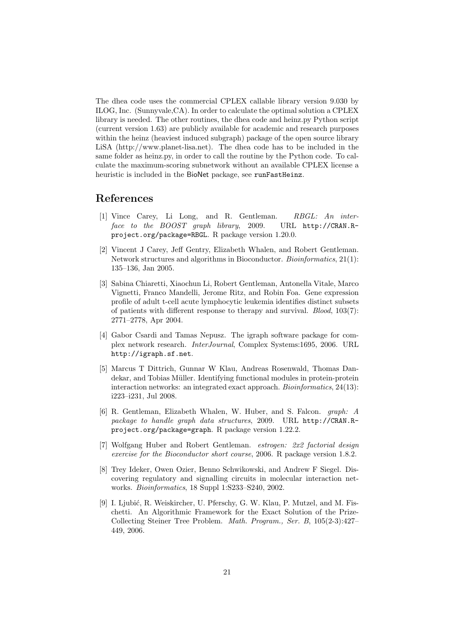The dhea code uses the commercial CPLEX callable library version 9.030 by ILOG, Inc. (Sunnyvale,CA). In order to calculate the optimal solution a CPLEX library is needed. The other routines, the dhea code and heinz.py Python script (current version 1.63) are publicly available for academic and research purposes within the heinz (heaviest induced subgraph) package of the open source library LiSA (http://www.planet-lisa.net). The dhea code has to be included in the same folder as heinz.py, in order to call the routine by the Python code. To calculate the maximum-scoring subnetwork without an available CPLEX license a heuristic is included in the BioNet package, see runFastHeinz.

# References

- [1] Vince Carey, Li Long, and R. Gentleman. RBGL: An interface to the BOOST graph library, 2009. URL http://CRAN.Rproject.org/package=RBGL. R package version 1.20.0.
- [2] Vincent J Carey, Jeff Gentry, Elizabeth Whalen, and Robert Gentleman. Network structures and algorithms in Bioconductor. Bioinformatics, 21(1): 135–136, Jan 2005.
- [3] Sabina Chiaretti, Xiaochun Li, Robert Gentleman, Antonella Vitale, Marco Vignetti, Franco Mandelli, Jerome Ritz, and Robin Foa. Gene expression profile of adult t-cell acute lymphocytic leukemia identifies distinct subsets of patients with different response to therapy and survival.  $Blood, 103(7)$ : 2771–2778, Apr 2004.
- [4] Gabor Csardi and Tamas Nepusz. The igraph software package for complex network research. InterJournal, Complex Systems:1695, 2006. URL http://igraph.sf.net.
- [5] Marcus T Dittrich, Gunnar W Klau, Andreas Rosenwald, Thomas Dandekar, and Tobias Müller. Identifying functional modules in protein-protein interaction networks: an integrated exact approach. *Bioinformatics*, 24(13): i223–i231, Jul 2008.
- [6] R. Gentleman, Elizabeth Whalen, W. Huber, and S. Falcon. graph: A package to handle graph data structures, 2009. URL http://CRAN.Rproject.org/package=graph. R package version 1.22.2.
- [7] Wolfgang Huber and Robert Gentleman. estrogen: 2x2 factorial design exercise for the Bioconductor short course, 2006. R package version 1.8.2.
- [8] Trey Ideker, Owen Ozier, Benno Schwikowski, and Andrew F Siegel. Discovering regulatory and signalling circuits in molecular interaction networks. Bioinformatics, 18 Suppl 1:S233–S240, 2002.
- [9] I. Ljubić, R. Weiskircher, U. Pferschy, G. W. Klau, P. Mutzel, and M. Fischetti. An Algorithmic Framework for the Exact Solution of the Prize-Collecting Steiner Tree Problem. Math. Program., Ser. B, 105(2-3):427– 449, 2006.